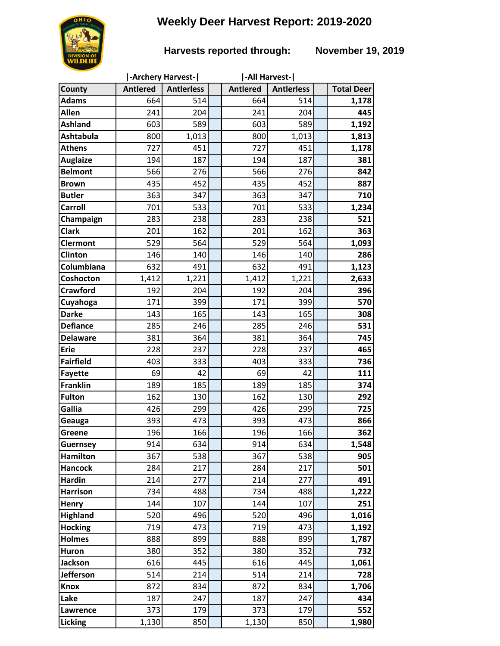# **Weekly Deer Harvest Report: 2019-2020**

## **Harvests reported through: November 19, 2019**

|                         | -Archery Harvest- |                   |  | -All Harvest-   |                   |  |                   |
|-------------------------|-------------------|-------------------|--|-----------------|-------------------|--|-------------------|
| County                  | <b>Antlered</b>   | <b>Antlerless</b> |  | <b>Antlered</b> | <b>Antlerless</b> |  | <b>Total Deer</b> |
| <b>Adams</b>            | 664               | 514               |  | 664             | 514               |  | 1,178             |
| Allen                   | 241               | 204               |  | 241             | 204               |  | 445               |
| <b>Ashland</b>          | 603               | 589               |  | 603             | 589               |  | 1,192             |
| <b>Ashtabula</b>        | 800               | 1,013             |  | 800             | 1,013             |  | 1,813             |
| <b>Athens</b>           | 727               | 451               |  | 727             | 451               |  | 1,178             |
| <b>Auglaize</b>         | 194               | 187               |  | 194             | 187               |  | 381               |
| <b>Belmont</b>          | 566               | 276               |  | 566             | 276               |  | 842               |
| <b>Brown</b>            | 435               | 452               |  | 435             | 452               |  | 887               |
| <b>Butler</b>           | 363               | 347               |  | 363             | 347               |  | 710               |
| <b>Carroll</b>          | 701               | 533               |  | 701             | 533               |  | 1,234             |
| Champaign               | 283               | 238               |  | 283             | 238               |  | 521               |
| <b>Clark</b>            | 201               | 162               |  | 201             | 162               |  | 363               |
| <b>Clermont</b>         | 529               | 564               |  | 529             | 564               |  | 1,093             |
| <b>Clinton</b>          | 146               | 140               |  | 146             | 140               |  | 286               |
| Columbiana              | 632               | 491               |  | 632             | 491               |  | 1,123             |
| Coshocton               | 1,412             | 1,221             |  | 1,412           | 1,221             |  | 2,633             |
| <b>Crawford</b>         | 192               | 204               |  | 192             | 204               |  | 396               |
| Cuyahoga                | 171               | 399               |  | 171             | 399               |  | 570               |
| <b>Darke</b>            | 143               | 165               |  | 143             | 165               |  | 308               |
| <b>Defiance</b>         | 285               | 246               |  | 285             | 246               |  | 531               |
| <b>Delaware</b>         | 381               | 364               |  | 381             | 364               |  | 745               |
| <b>Erie</b>             | 228               | 237               |  | 228             | 237               |  | 465               |
| <b>Fairfield</b>        | 403               | 333               |  | 403             | 333               |  | 736               |
| <b>Fayette</b>          | 69                | 42                |  | 69              | 42                |  | 111               |
| <b>Franklin</b>         | 189               | 185               |  | 189             | 185               |  | 374               |
| <b>Fulton</b>           | 162               | 130               |  | 162             | 130               |  | 292               |
| Gallia                  | 426               | 299               |  | 426             | 299               |  | 725               |
| Geauga                  | 393               | 473               |  | 393             | 473               |  | 866               |
| Greene                  | 196               | 166               |  | 196             | 166               |  | 362               |
| <b>Guernsey</b>         | 914               | 634               |  | 914             | 634               |  | 1,548             |
| <b>Hamilton</b>         | 367               | 538               |  | 367             | 538               |  | 905               |
| <b>Hancock</b>          | 284               | 217               |  | 284             | 217               |  | 501               |
| <b>Hardin</b>           | 214               | 277               |  | 214             | 277               |  | 491               |
| <b>Harrison</b>         | 734               | 488               |  | 734             | 488               |  | 1,222             |
| Henry                   | 144               | 107               |  | 144             | 107               |  | 251               |
| <b>Highland</b>         | 520<br>719        | 496<br>473        |  | 520<br>719      | 496<br>473        |  | 1,016             |
| <b>Hocking</b>          |                   |                   |  |                 |                   |  | 1,192             |
| <b>Holmes</b>           | 888<br>380        | 899<br>352        |  | 888<br>380      | 899<br>352        |  | 1,787<br>732      |
| Huron<br><b>Jackson</b> | 616               | 445               |  | 616             | 445               |  |                   |
| <b>Jefferson</b>        | 514               | 214               |  | 514             | 214               |  | 1,061<br>728      |
| <b>Knox</b>             | 872               | 834               |  | 872             |                   |  |                   |
| Lake                    | 187               | 247               |  | 187             | 834<br>247        |  | 1,706<br>434      |
| Lawrence                | 373               | 179               |  | 373             | 179               |  | 552               |
|                         |                   |                   |  |                 |                   |  |                   |
| Licking                 | 1,130             | 850               |  | 1,130           | 850               |  | 1,980             |